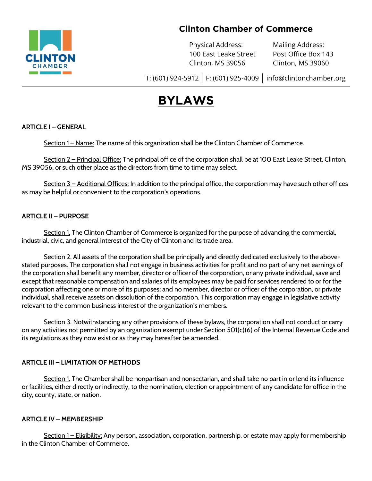

# **Clinton Chamber of Commerce**

Physical Address: Mailing Address: 100 East Leake Street Post Office Box 143 Clinton, MS 39056 Clinton, MS 39060

T: (601) 924-5912 | F: (601) 925-4009 | [info@clintonchamber.org](mailto:info@clintonchamber.org)

# **BYLAWS**

# **ARTICLE I – GENERAL**

Section 1 – Name: The name of this organization shall be the Clinton Chamber of Commerce.

Section 2 – Principal Office: The principal office of the corporation shall be at 100 East Leake Street, Clinton, MS 39056, or such other place as the directors from time to time may select.

Section 3 – Additional Offices: In addition to the principal office, the corporation may have such other offices as may be helpful or convenient to the corporation's operations.

## **ARTICLE II – PURPOSE**

Section 1. The Clinton Chamber of Commerce is organized for the purpose of advancing the commercial, industrial, civic, and general interest of the City of Clinton and its trade area.

Section 2. All assets of the corporation shall be principally and directly dedicated exclusively to the abovestated purposes. The corporation shall not engage in business activities for profit and no part of any net earnings of the corporation shall benefit any member, director or officer of the corporation, or any private individual, save and except that reasonable compensation and salaries of its employees may be paid for services rendered to or for the corporation affecting one or more of its purposes; and no member, director or officer of the corporation, or private individual, shall receive assets on dissolution of the corporation. This corporation may engage in legislative activity relevant to the common business interest of the organization's members.

Section 3. Notwithstanding any other provisions of these bylaws, the corporation shall not conduct or carry on any activities not permitted by an organization exempt under Section 501(c)(6) of the Internal Revenue Code and its regulations as they now exist or as they may hereafter be amended.

#### **ARTICLE III – LIMITATION OF METHODS**

Section 1. The Chamber shall be nonpartisan and nonsectarian, and shall take no part in or lend its influence or facilities, either directly or indirectly, to the nomination, election or appointment of any candidate for office in the city, county, state, or nation.

#### **ARTICLE IV – MEMBERSHIP**

Section 1 – Eligibility: Any person, association, corporation, partnership, or estate may apply for membership in the Clinton Chamber of Commerce.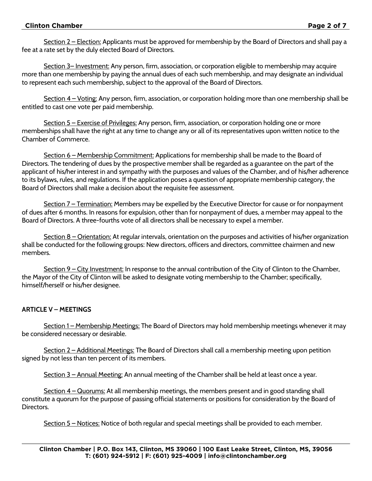#### **Clinton Chamber Page 2 of 7**

Section 2 – Election: Applicants must be approved for membership by the Board of Directors and shall pay a fee at a rate set by the duly elected Board of Directors.

Section 3– Investment: Any person, firm, association, or corporation eligible to membership may acquire more than one membership by paying the annual dues of each such membership, and may designate an individual to represent each such membership, subject to the approval of the Board of Directors.

Section 4 – Voting: Any person, firm, association, or corporation holding more than one membership shall be entitled to cast one vote per paid membership.

Section 5 – Exercise of Privileges: Any person, firm, association, or corporation holding one or more memberships shall have the right at any time to change any or all of its representatives upon written notice to the Chamber of Commerce.

Section 6 – Membership Commitment: Applications for membership shall be made to the Board of Directors. The tendering of dues by the prospective member shall be regarded as a guarantee on the part of the applicant of his/her interest in and sympathy with the purposes and values of the Chamber, and of his/her adherence to its bylaws, rules, and regulations. If the application poses a question of appropriate membership category, the Board of Directors shall make a decision about the requisite fee assessment.

Section 7 – Termination: Members may be expelled by the Executive Director for cause or for nonpayment of dues after 6 months. In reasons for expulsion, other than for nonpayment of dues, a member may appeal to the Board of Directors. A three-fourths vote of all directors shall be necessary to expel a member.

Section 8 – Orientation: At regular intervals, orientation on the purposes and activities of his/her organization shall be conducted for the following groups: New directors, officers and directors, committee chairmen and new members.

Section 9 – City Investment: In response to the annual contribution of the City of Clinton to the Chamber, the Mayor of the City of Clinton will be asked to designate voting membership to the Chamber; specifically, himself/herself or his/her designee.

# **ARTICLE V – MEETINGS**

Section 1 – Membership Meetings: The Board of Directors may hold membership meetings whenever it may be considered necessary or desirable.

Section 2 – Additional Meetings: The Board of Directors shall call a membership meeting upon petition signed by not less than ten percent of its members.

Section 3 – Annual Meeting: An annual meeting of the Chamber shall be held at least once a year.

Section 4 – Quorums: At all membership meetings, the members present and in good standing shall constitute a quorum for the purpose of passing official statements or positions for consideration by the Board of Directors.

Section 5 – Notices: Notice of both regular and special meetings shall be provided to each member.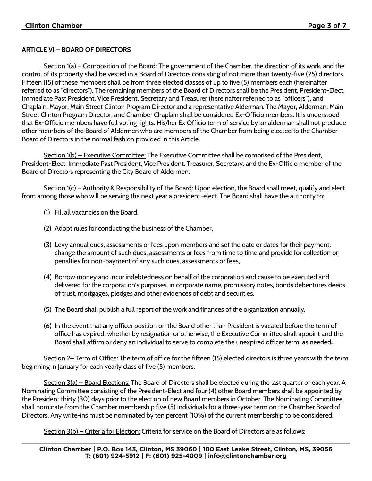# **ARTICLE VI – BOARD OF DIRECTORS**

Section  $1(a)$  – Composition of the Board: The government of the Chamber, the direction of its work, and the control of its property shall be vested in a Board of Directors consisting of not more than twenty-five (25) directors. Fifteen (15) of these members shall be from three elected classes of up to five (5) members each (hereinafter referred to as "directors"). The remaining members of the Board of Directors shall be the President, President-Elect, Immediate Past President, Vice President, Secretary and Treasurer (hereinafter referred to as "officers"), and Chaplain, Mayor, Main Street Clinton Program Director and a representative Alderman. The Mayor, Alderman, Main Street Clinton Program Director, and Chamber Chaplain shall be considered Ex-Officio members**.** It is understood that Ex-Officio members have full voting rights. His/her Ex Officio term of service by an alderman shall not preclude other members of the Board of Aldermen who are members of the Chamber from being elected to the Chamber Board of Directors in the normal fashion provided in this Article.

Section 1(b) – Executive Committee: The Executive Committee shall be comprised of the President, President-Elect, Immediate Past President, Vice President, Treasurer, Secretary, and the Ex-Officio member of the Board of Directors representing the City Board of Aldermen.

Section 1(c) – Authority & Responsibility of the Board: Upon election, the Board shall meet, qualify and elect from among those who will be serving the next year a president-elect. The Board shall have the authority to:

- (1) Fill all vacancies on the Board,
- (2) Adopt rules for conducting the business of the Chamber,
- (3) Levy annual dues, assessments or fees upon members and set the date or dates for their payment: change the amount of such dues, assessments or fees from time to time and provide for collection or penalties for non-payment of any such dues, assessments or fees,
- (4) Borrow money and incur indebtedness on behalf of the corporation and cause to be executed and delivered for the corporation's purposes, in corporate name, promissory notes, bonds debentures deeds of trust, mortgages, pledges and other evidences of debt and securities.
- (5) The Board shall publish a full report of the work and finances of the organization annually.
- (6) In the event that any officer position on the Board other than President is vacated before the term of office has expired, whether by resignation or otherwise, the Executive Committee shall appoint and the Board shall affirm or deny an individual to serve to complete the unexpired officer term, as needed**.**

Section 2– Term of Office: The term of office for the fifteen (15) elected directors is three years with the term beginning in January for each yearly class of five (5) members.

Section 3(a) – Board Elections: The Board of Directors shall be elected during the last quarter of each year. A Nominating Committee consisting of the President-Elect and four (4) other Board members shall be appointed by the President thirty (30) days prior to the election of new Board members in October. The Nominating Committee shall nominate from the Chamber membership five (5) individuals for a three-year term on the Chamber Board of Directors. Any write-ins must be nominated by ten percent (10%) of the current membership to be considered.

Section 3(b) – Criteria for Election: Criteria for service on the Board of Directors are as follows: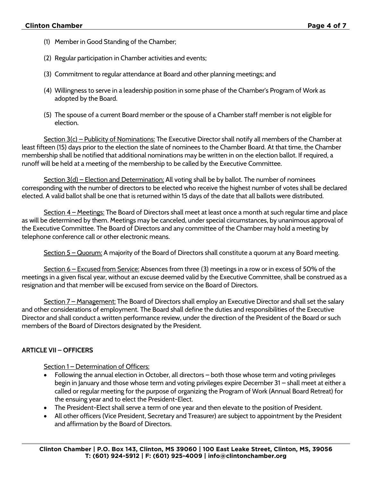- (1) Member in Good Standing of the Chamber;
- (2) Regular participation in Chamber activities and events;
- (3) Commitment to regular attendance at Board and other planning meetings; and
- (4) Willingness to serve in a leadership position in some phase of the Chamber's Program of Work as adopted by the Board.
- (5) The spouse of a current Board member or the spouse of a Chamber staff member is not eligible for election.

<u>Section 3(c) – Publicity of Nominations:</u> The Executive Director shall notify all members of the Chamber at least fifteen (15) days prior to the election the slate of nominees to the Chamber Board. At that time, the Chamber membership shall be notified that additional nominations may be written in on the election ballot. If required, a runoff will be held at a meeting of the membership to be called by the Executive Committee.

Section 3(d) – Election and Determination: All voting shall be by ballot. The number of nominees corresponding with the number of directors to be elected who receive the highest number of votes shall be declared elected. A valid ballot shall be one that is returned within 15 days of the date that all ballots were distributed.

Section 4 – Meetings: The Board of Directors shall meet at least once a month at such regular time and place as will be determined by them. Meetings may be canceled, under special circumstances, by unanimous approval of the Executive Committee. The Board of Directors and any committee of the Chamber may hold a meeting by telephone conference call or other electronic means.

Section 5 – Quorum: A majority of the Board of Directors shall constitute a quorum at any Board meeting.

Section 6 – Excused from Service: Absences from three (3) meetings in a row or in excess of 50% of the meetings in a given fiscal year, without an excuse deemed valid by the Executive Committee, shall be construed as a resignation and that member will be excused from service on the Board of Directors.

Section 7 – Management: The Board of Directors shall employ an Executive Director and shall set the salary and other considerations of employment. The Board shall define the duties and responsibilities of the Executive Director and shall conduct a written performance review, under the direction of the President of the Board or such members of the Board of Directors designated by the President.

# **ARTICLE VII – OFFICERS**

Section 1 – Determination of Officers:

- Following the annual election in October, all directors both those whose term and voting privileges begin in January and those whose term and voting privileges expire December 31 – shall meet at either a called or regular meeting for the purpose of organizing the Program of Work (Annual Board Retreat) for the ensuing year and to elect the President-Elect.
- The President-Elect shall serve a term of one year and then elevate to the position of President.
- All other officers (Vice President, Secretary and Treasurer) are subject to appointment by the President and affirmation by the Board of Directors.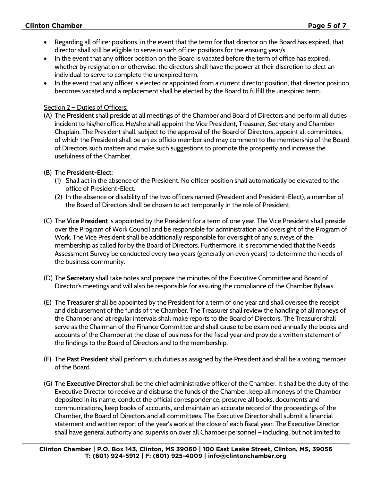# **Clinton Chamber Page 5 of 7**

- Regarding all officer positions, in the event that the term for that director on the Board has expired, that director shall still be eligible to serve in such officer positions for the ensuing year/s.
- In the event that any officer position on the Board is vacated before the term of office has expired, whether by resignation or otherwise, the directors shall have the power at their discretion to elect an individual to serve to complete the unexpired term.
- In the event that any officer is elected or appointed from a current director position, that director position becomes vacated and a replacement shall be elected by the Board to fulfill the unexpired term.

#### Section 2 – Duties of Officers:

(A) The **President** shall preside at all meetings of the Chamber and Board of Directors and perform all duties incident to his/her office. He/she shall appoint the Vice President, Treasurer, Secretary and Chamber Chaplain. The President shall, subject to the approval of the Board of Directors, appoint all committees, of which the President shall be an ex officio member and may comment to the membership of the Board of Directors such matters and make such suggestions to promote the prosperity and increase the usefulness of the Chamber.

## (B) The **President-Elect:**

- (1) Shall act in the absence of the President. No officer position shall automatically be elevated to the office of President-Elect.
- (2) In the absence or disability of the two officers named (President and President-Elect), a member of the Board of Directors shall be chosen to act temporarily in the role of President.
- (C) The **Vice President** is appointed by the President for a term of one year. The Vice President shall preside over the Program of Work Council and be responsible for administration and oversight of the Program of Work. The Vice President shall be additionally responsible for oversight of any surveys of the membership as called for by the Board of Directors. Furthermore, it is recommended that the Needs Assessment Survey be conducted every two years (generally on even years) to determine the needs of the business community.
- (D) The **Secretary** shall take notes and prepare the minutes of the Executive Committee and Board of Director's meetings and will also be responsible for assuring the compliance of the Chamber Bylaws.
- (E) The **Treasurer** shall be appointed by the President for a term of one year and shall oversee the receipt and disbursement of the funds of the Chamber. The Treasurer shall review the handling of all moneys of the Chamber and at regular intervals shall make reports to the Board of Directors. The Treasurer shall serve as the Chairman of the Finance Committee and shall cause to be examined annually the books and accounts of the Chamber at the close of business for the fiscal year and provide a written statement of the findings to the Board of Directors and to the membership.
- (F) The **Past President** shall perform such duties as assigned by the President and shall be a voting member of the Board.
- (G) The **Executive Director** shall be the chief administrative officer of the Chamber. It shall be the duty of the Executive Director to receive and disburse the funds of the Chamber, keep all moneys of the Chamber deposited in its name, conduct the official correspondence, preserve all books, documents and communications, keep books of accounts, and maintain an accurate record of the proceedings of the Chamber, the Board of Directors and all committees. The Executive Director shall submit a financial statement and written report of the year's work at the close of each fiscal year. The Executive Director shall have general authority and supervision over all Chamber personnel – including, but not limited to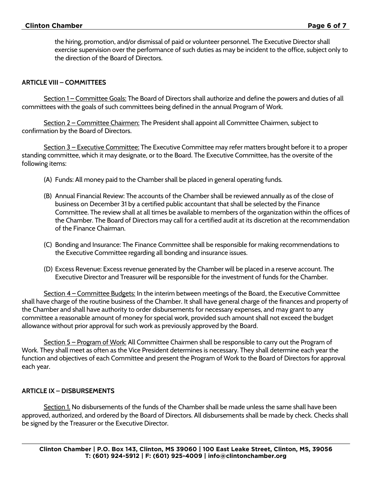the hiring, promotion, and/or dismissal of paid or volunteer personnel. The Executive Director shall exercise supervision over the performance of such duties as may be incident to the office, subject only to the direction of the Board of Directors.

#### **ARTICLE VIII – COMMITTEES**

Section 1 – Committee Goals: The Board of Directors shall authorize and define the powers and duties of all committees with the goals of such committees being defined in the annual Program of Work.

Section 2 – Committee Chairmen: The President shall appoint all Committee Chairmen, subject to confirmation by the Board of Directors.

Section 3 – Executive Committee: The Executive Committee may refer matters brought before it to a proper standing committee, which it may designate, or to the Board. The Executive Committee, has the oversite of the following items:

- (A) Funds: All money paid to the Chamber shall be placed in general operating funds.
- (B) Annual Financial Review: The accounts of the Chamber shall be reviewed annually as of the close of business on December 31 by a certified public accountant that shall be selected by the Finance Committee. The review shall at all times be available to members of the organization within the offices of the Chamber. The Board of Directors may call for a certified audit at its discretion at the recommendation of the Finance Chairman.
- (C) Bonding and Insurance: The Finance Committee shall be responsible for making recommendations to the Executive Committee regarding all bonding and insurance issues.
- (D) Excess Revenue: Excess revenue generated by the Chamber will be placed in a reserve account. The Executive Director and Treasurer will be responsible for the investment of funds for the Chamber.

Section 4 – Committee Budgets: In the interim between meetings of the Board, the Executive Committee shall have charge of the routine business of the Chamber. It shall have general charge of the finances and property of the Chamber and shall have authority to order disbursements for necessary expenses, and may grant to any committee a reasonable amount of money for special work, provided such amount shall not exceed the budget allowance without prior approval for such work as previously approved by the Board.

Section 5 – Program of Work: All Committee Chairmen shall be responsible to carry out the Program of Work. They shall meet as often as the Vice President determines is necessary. They shall determine each year the function and objectives of each Committee and present the Program of Work to the Board of Directors for approval each year.

#### **ARTICLE IX – DISBURSEMENTS**

Section 1. No disbursements of the funds of the Chamber shall be made unless the same shall have been approved, authorized, and ordered by the Board of Directors. All disbursements shall be made by check. Checks shall be signed by the Treasurer or the Executive Director.